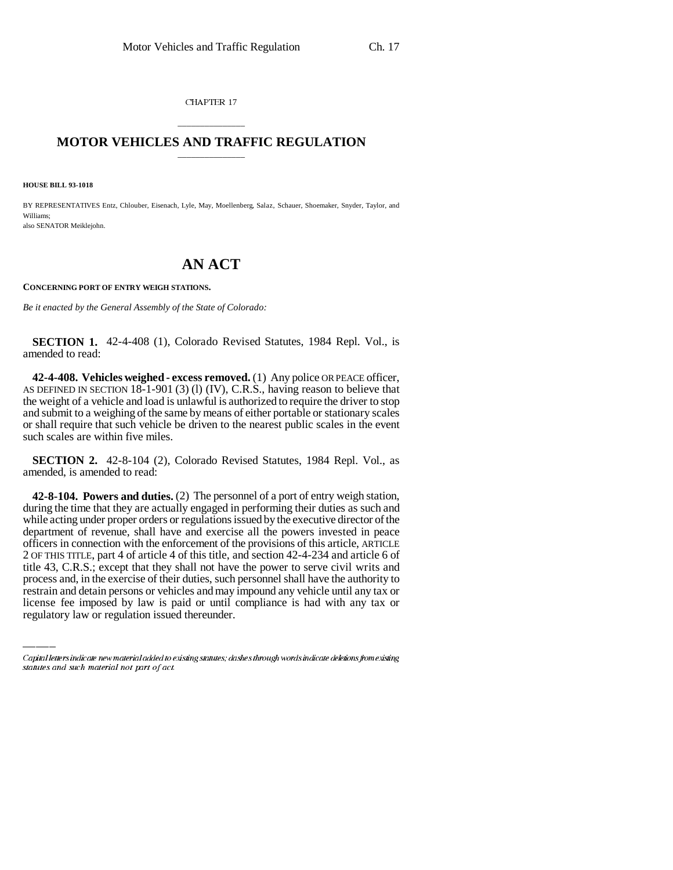CHAPTER 17

## \_\_\_\_\_\_\_\_\_\_\_\_\_\_\_ **MOTOR VEHICLES AND TRAFFIC REGULATION** \_\_\_\_\_\_\_\_\_\_\_\_\_\_\_

**HOUSE BILL 93-1018**

BY REPRESENTATIVES Entz, Chlouber, Eisenach, Lyle, May, Moellenberg, Salaz, Schauer, Shoemaker, Snyder, Taylor, and Williams; also SENATOR Meiklejohn.

## **AN ACT**

## **CONCERNING PORT OF ENTRY WEIGH STATIONS.**

*Be it enacted by the General Assembly of the State of Colorado:*

**SECTION 1.** 42-4-408 (1), Colorado Revised Statutes, 1984 Repl. Vol., is amended to read:

**42-4-408. Vehicles weighed - excess removed.** (1) Any police OR PEACE officer, AS DEFINED IN SECTION 18-1-901 (3) (l) (IV), C.R.S., having reason to believe that the weight of a vehicle and load is unlawful is authorized to require the driver to stop and submit to a weighing of the same by means of either portable or stationary scales or shall require that such vehicle be driven to the nearest public scales in the event such scales are within five miles.

**SECTION 2.** 42-8-104 (2), Colorado Revised Statutes, 1984 Repl. Vol., as amended, is amended to read:

title 43, C.R.S.; except that they shall not have the power to serve civil writs and **42-8-104. Powers and duties.** (2) The personnel of a port of entry weigh station, during the time that they are actually engaged in performing their duties as such and while acting under proper orders or regulations issued by the executive director of the department of revenue, shall have and exercise all the powers invested in peace officers in connection with the enforcement of the provisions of this article, ARTICLE 2 OF THIS TITLE, part 4 of article 4 of this title, and section 42-4-234 and article 6 of process and, in the exercise of their duties, such personnel shall have the authority to restrain and detain persons or vehicles and may impound any vehicle until any tax or license fee imposed by law is paid or until compliance is had with any tax or regulatory law or regulation issued thereunder.

Capital letters indicate new material added to existing statutes; dashes through words indicate deletions from existing statutes and such material not part of act.